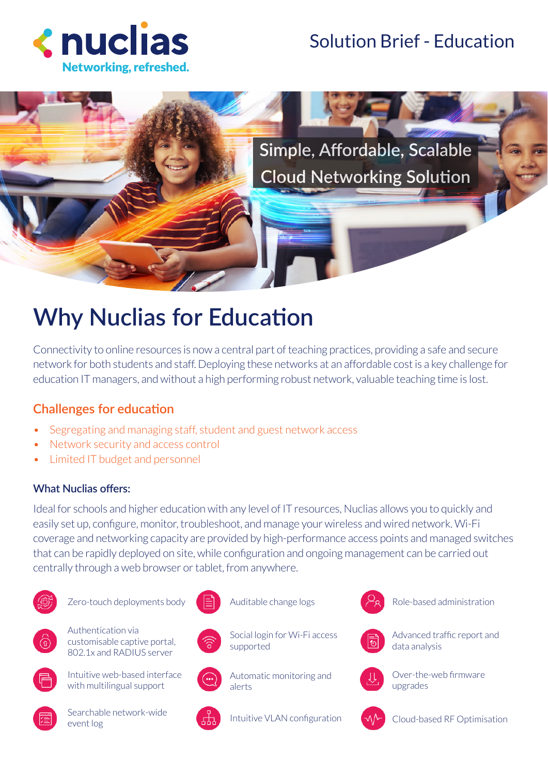

## Solution Brief - Education



# **Why Nuclias for Education**

Connectivity to online resources is now a central part of teaching practices, providing a safe and secure network for both students and staff. Deploying these networks at an affordable cost is a key challenge for education IT managers, and without a high performing robust network, valuable teaching time is lost.

## **Challenges for education**

- Segregating and managing staff, student and guest network access
- Network security and access control
- Limited IT budget and personnel

### **What Nuclias offers:**

Ideal for schools and higher education with any level of IT resources, Nuclias allows you to quickly and easily set up, configure, monitor, troubleshoot, and manage your wireless and wired network. Wi-Fi coverage and networking capacity are provided by high-performance access points and managed switches that can be rapidly deployed on site, while configuration and ongoing management can be carried out centrally through a web browser or tablet, from anywhere.

Auditable change logs

supported



Zero-touch deployments body



Authentication via customisable captive portal, 802.1x and RADIUS server



Intuitive web-based interface with multilingual support



Searchable network-wide event log



Automatic monitoring and alerts

Social login for Wi-Fi access



Role-based administration



Advanced traffic report and data analysis



Over-the-web firmware upgrades



Cloud-based RF Optimisation



Intuitive VLAN configuration